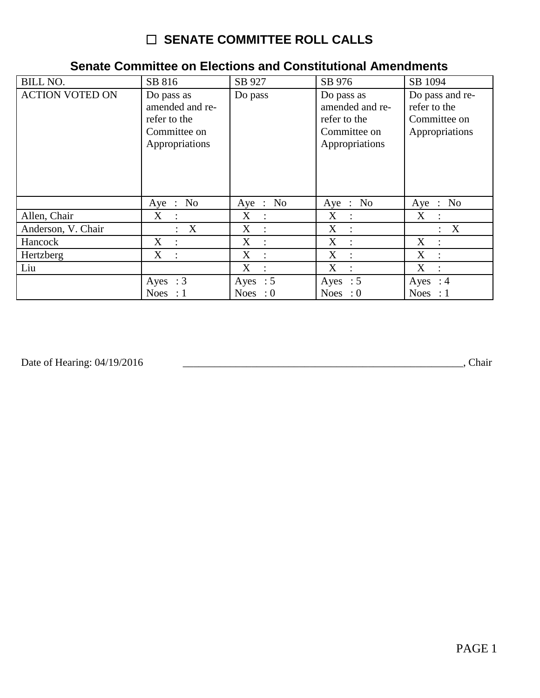## $\Box$  SENATE COMMITTEE ROLL CALLS

## **Senate Committee on Elections and Constitutional Amendments**

| <b>BILL NO.</b>        | SB 816                                                                          | SB 927              | SB 976                                                                          | SB 1094                                                           |
|------------------------|---------------------------------------------------------------------------------|---------------------|---------------------------------------------------------------------------------|-------------------------------------------------------------------|
| <b>ACTION VOTED ON</b> | Do pass as<br>amended and re-<br>refer to the<br>Committee on<br>Appropriations | Do pass             | Do pass as<br>amended and re-<br>refer to the<br>Committee on<br>Appropriations | Do pass and re-<br>refer to the<br>Committee on<br>Appropriations |
|                        | Aye : $No$                                                                      | Aye : No            | Aye : No                                                                        | Aye : No                                                          |
| Allen, Chair           | X                                                                               | X                   | $X_{\mathcal{E}}$<br>$\ddot{\cdot}$                                             | $X_{\mathcal{L}}$                                                 |
| Anderson, V. Chair     | $\boldsymbol{\mathrm{X}}$<br>$\bullet$                                          | X                   | X                                                                               | X                                                                 |
| Hancock                | X<br>$\ddot{\cdot}$                                                             | X<br>$\ddot{\cdot}$ | X<br>$\ddot{\cdot}$                                                             | X<br>$\ddot{\phantom{a}}$                                         |
| Hertzberg              | X<br>$\ddot{\phantom{a}}$                                                       | X<br>$\ddot{\cdot}$ | X<br>$\ddot{\cdot}$                                                             | X<br>$\mathbb{I}$                                                 |
| Liu                    |                                                                                 | X                   | X                                                                               | X                                                                 |
|                        | Ayes : $3$                                                                      | Ayes : $5$          | Ayes : $5$                                                                      | Ayes : $4$                                                        |
|                        | Noes : $1$                                                                      | Noes : $0$          | Noes : $0$                                                                      | Noes : $1$                                                        |

Date of Hearing: 04/19/2016

Chair (Chair